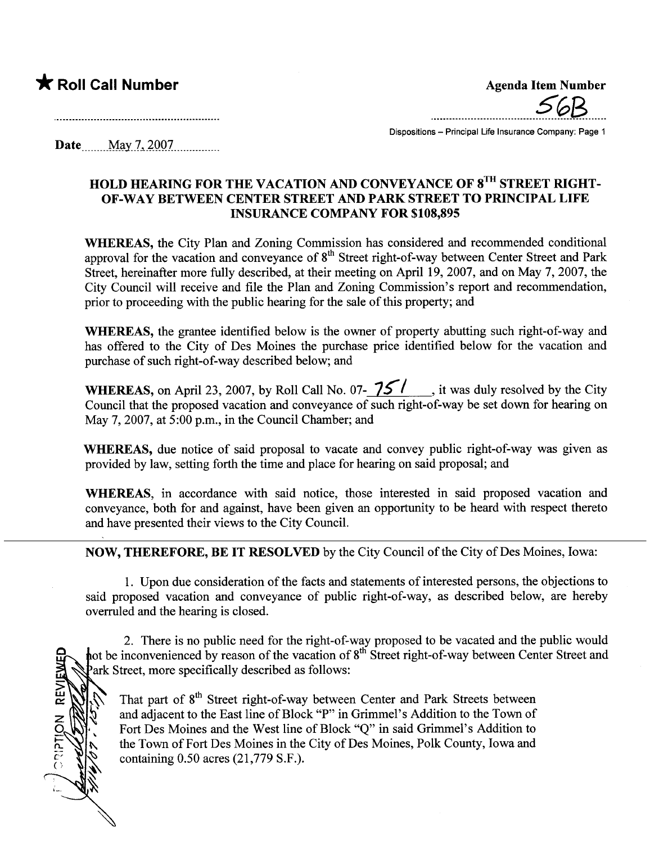## \* Roll Call Number Agenda Item Number

**CRIPTION REVIEWED** 

.....ooo\_\_o\_\_\_\_..\_\_\_\_\_\_\_\_..SGB.\_\_o.

Dispositions - Principal Life Insurance Company: Page 1

Date \_ \_\_ \_\_\_\_.M.a.y\_\_7-'.iQQ7...... ..\_\_. ....

#### HOLD HEARING FOR THE VACATION AND CONVEYANCE OF 8TH STREET RIGHT-OF-WAY BETWEEN CENTER STREET AND PARK STREET TO PRINCIPAL LIFE INSURANCE COMPANY FOR \$108,895

WHEREAS, the City Plan and Zoning Commission has considered and recommended conditional approval for the vacation and conveyance of 8<sup>th</sup> Street right-of-way between Center Street and Park Street, hereinafter more fully described, at their meeting on April 19, 2007, and on May 7, 2007, the City Council will receive and fie the Plan and Zoning Commission's report and recommendation, prior to proceeding with the public hearing for the sale of this property; and

WHEREAS, the grantee identified below is the owner of property abutting such right-of-way and has offered to the City of Des Moines the purchase price identified below for the vacation and purchase of such right-of-way described below; and

WHEREAS, on April 23, 2007, by Roll Call No. 07- $\frac{75}{10}$ , it was duly resolved by the City Council that the proposed vacation and conveyance of such right-of-way be set down for hearing on May 7,2007, at 5:00 p.m., in the Council Chamber; and

WHEREAS, due notice of said proposal to vacate and convey public right-of-way was given as provided by law, setting forth the time and place for hearing on said proposal; and

WHEREAS, in accordance with said notice, those interested in said proposed vacation and conveyance, both for and against, have been given an opportunity to be heard with respect thereto and have presented their views to the City CounciL.

NOW, THEREFORE, BE IT RESOLVED by the City Council of the City of Des Moines, Iowa:

1. Upon due consideration of the facts and statements of interested persons, the objections to said proposed vacation and conveyance of public right-of-way, as described below, are hereby overruled and the hearing is closed.

2. There is no public need for the right-of-way proposed to be vacated and the public would not be inconvenienced by reason of the vacation of 8<sup>th</sup> Street right-of-way between Center Street and Park Street, more specifically described as follows:

That part of 8<sup>th</sup> Street right-of-way between Center and Park Streets between and adjacent to the East line of Block "P" in Grimmel's Addition to the Town of Fort Des Moines and the West line of Block "Q" in said Grimmel's Addition to the Town of Fort Des Moines in the City of Des Moines, Polk County, Iowa and containing 0.50 acres (21,779 S.F.).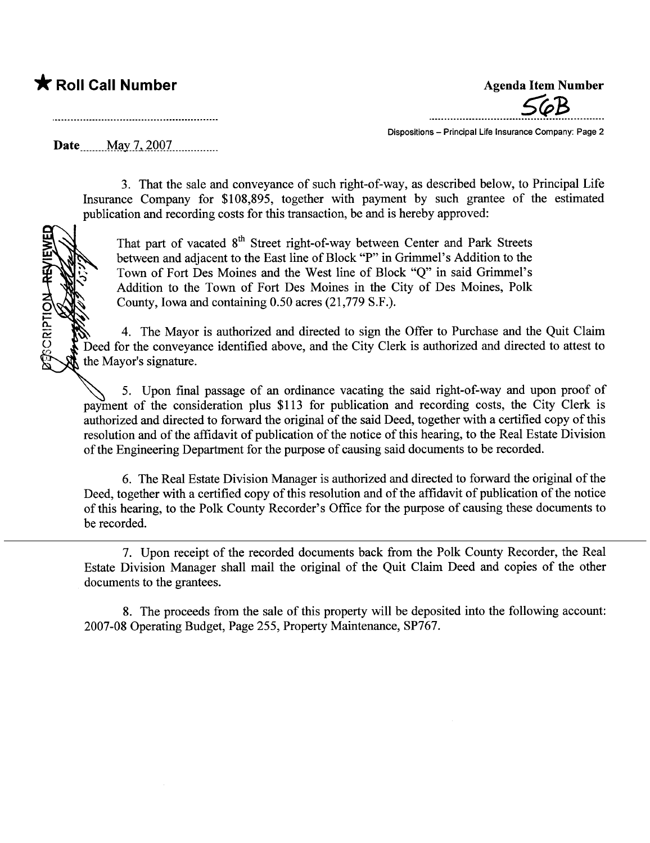## \* Roll Call Number Agenda Item Number

**CRIPTION-REV** 

 $56B$ 

Dispositions - Principal Life Insurance Company: Page 2

Date \_\_\_\_\_May 7, 2007... \_\_\_\_\_\_\_\_

3. That the sale and conveyance of such right-of-way, as described below, to Principal Life Insurance Company for \$108,895, together with payment by such grantee of the estimated publication and recording costs for this transaction, be and is hereby approved:

That part of vacated 8<sup>th</sup> Street right-of-way between Center and Park Streets between and adjacent to the East line of Block "P" in Grimmel's Addition to the Town of Fort Des Moines and the West line of Block "Q" in said Grimmel's Addition to the Town of Fort Des Moines in the City of Des Moines, Polk County, Iowa and containing 0.50 acres (21,779 S.F.).

4. The Mayor is authorized and directed to sign the Offer to Purchase and the Quit Claim Deed for the conveyance identified above, and the City Clerk is authorized and directed to attest to the Mayor's signature.

5. Upon final passage of an ordinance vacating the said right-of-way and upon proof of payment of the consideration plus \$113 for publication and recording costs, the City Clerk is authorized and directed to forward the original of the said Deed, together with a certified copy of this resolution and of the affidavit of publication of the notice of this hearing, to the Real Estate Division of the Engineering Deparment for the purose of causing said documents to be recorded.

6. The Real Estate Division Manager is authorized and directed to forward the original of the Deed, together with a certified copy of this resolution and of the affidavit of publication of the notice of this hearing, to the Polk County Recorder's Office for the purose of causing these documents to be recorded.

7. Upon receipt of the recorded documents back from the Polk County Recorder, the Real Estate Division Manager shall mail the original of the Quit Claim Deed and copies of the other documents to the grantees.

8. The proceeds from the sale of this property will be deposited into the following account: 2007-08 Operating Budget, Page 255, Property Maintenance, SP767.